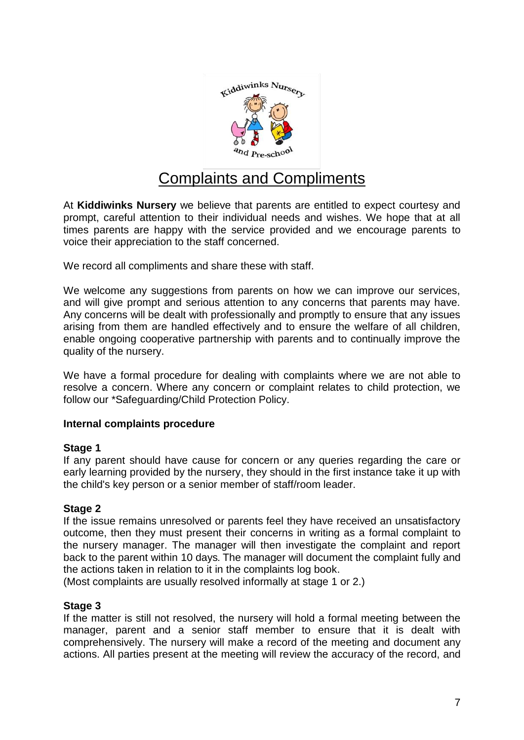

# Complaints and Compliments

At **Kiddiwinks Nursery** we believe that parents are entitled to expect courtesy and prompt, careful attention to their individual needs and wishes. We hope that at all times parents are happy with the service provided and we encourage parents to voice their appreciation to the staff concerned.

We record all compliments and share these with staff.

We welcome any suggestions from parents on how we can improve our services, and will give prompt and serious attention to any concerns that parents may have. Any concerns will be dealt with professionally and promptly to ensure that any issues arising from them are handled effectively and to ensure the welfare of all children, enable ongoing cooperative partnership with parents and to continually improve the quality of the nursery.

We have a formal procedure for dealing with complaints where we are not able to resolve a concern. Where any concern or complaint relates to child protection, we follow our \*Safeguarding/Child Protection Policy.

# **Internal complaints procedure**

# **Stage 1**

If any parent should have cause for concern or any queries regarding the care or early learning provided by the nursery, they should in the first instance take it up with the child's key person or a senior member of staff/room leader.

# **Stage 2**

If the issue remains unresolved or parents feel they have received an unsatisfactory outcome, then they must present their concerns in writing as a formal complaint to the nursery manager. The manager will then investigate the complaint and report back to the parent within 10 days**.** The manager will document the complaint fully and the actions taken in relation to it in the complaints log book.

(Most complaints are usually resolved informally at stage 1 or 2.)

# **Stage 3**

If the matter is still not resolved, the nursery will hold a formal meeting between the manager, parent and a senior staff member to ensure that it is dealt with comprehensively. The nursery will make a record of the meeting and document any actions. All parties present at the meeting will review the accuracy of the record, and